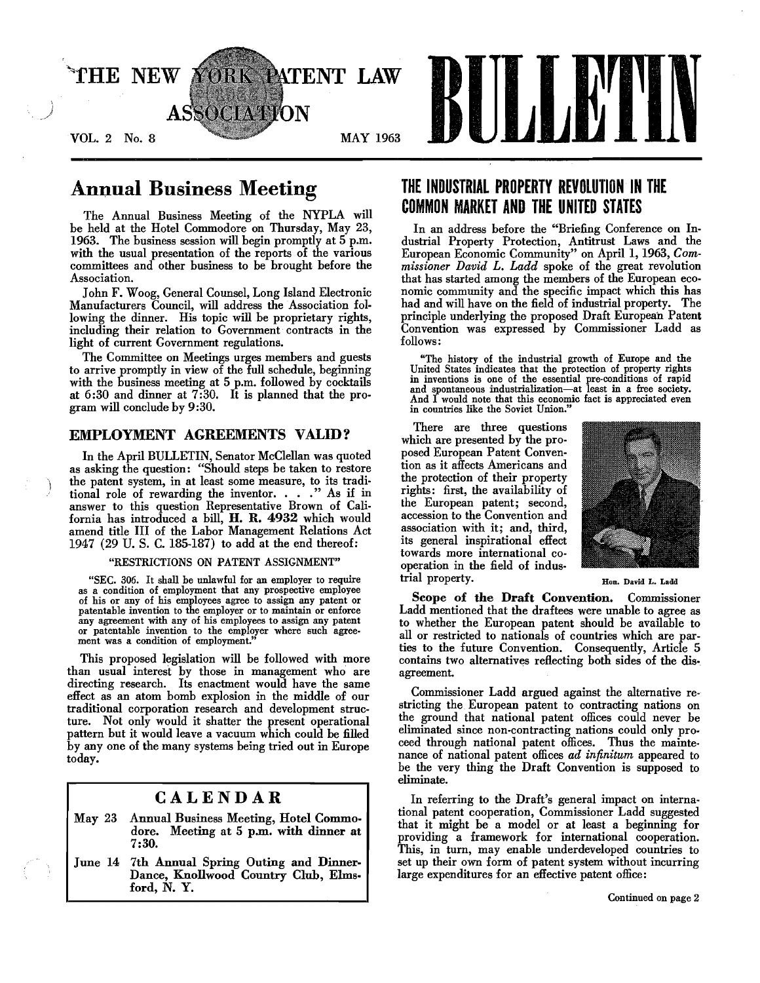

# Annual Business Meeting

The Annual Business Meeting of the NYPLA will be held at the Hotel Commodore on Thursday, May 23, 1963. The business session will begin promptly at 5 p.m. with the usual presentation of the reports of the various committees and other business to be brought before the Association.

John F. Woog, General Counsel, Long Island Electronic Manufacturers Council, will address the Association following the dinner. His topic will be proprietary rights, including their relation to Government contracts in the light of current Government regulations.

The Committee on Meetings urges members and guests to arrive promptly in view of the full schedule, beginning with the business meeting at 5 p.m. followed by cocktails at 6:30 and dinner at 7:30. It is planned that the program will conclude by 9 :30.

## EMPLOYMENT AGREEMENTS VALID?

In the April BULLETIN, Senator McClellan was quoted as asking the question: "Should steps be taken to restore the patent system, in at least some measure, to its traditional role of rewarding the inventor. . . . " As if in answer to this question Representative Brown of California has introduced a bill, H. R. 4932 which would amend title III of the Labor Management Relations Act 1947 (29 U. S. C. 185-187) to add at the end thereof:

#### "RESTRICTIONS ON PATENT ASSIGNMENT"

"SEC. 306. It shall be unlawful for an employer to require as a condition of employment that any prospective employee of his or any of his employees agree to assign any patent or patentable invention to the employer or to maintain or enforce any agreement with any of his employees to assign any patent or patentable invention to the employer where such agreement was a condition of employment."

This proposed legislation will be followed with more than usual interest by those in management who are directing research. Its enactment would have the same effect as an atom bomb explosion in the middle of our traditional corporation research and development structure. Not only would it shatter the present operational pattern but it would leave a vacuum which could be filled by anyone of the many systems being tried out in Europe today.

# CALENDAR

- May 23 Annual Business Meeting, Hotel Commodore. Meeting at 5 p.m. with dinner at 7:30.
- June 14 7th Annual Spring Outing and Dinner-Dance, Knollwood Country Club, Elmsford, N. Y.

# THE INDUSTRIAL PROPERTY REVOLUTION IN THE COMMON MARKET AND THE UNITED STATES

In an address before the "Briefing Conference on Industrial Property Protection, Antitrust Laws and the European Economic Community" on April 1, 1963, *Commissioner David L. Ladd* spoke of the great revolution that has started among the members of the European economic community and the specific impact which this has had and will have on the field of industrial property. The principle underlying the proposed Draft European Patent Convention was expressed by Commissioner Ladd as follows:

"The history of the industrial growth of Europe and the United States indicates that the protection of property rights in inventions is one of the essential pre-conditions of rapid and spontaneous industrialization-at least in a free society. And I would note that this economic fact is appreciated even in countries like the Soviet Union."

There are three questions which are presented by the proposed European Patent Convention as it affects Americans and the protection of their property rights: first, the availability of the European patent; second, accession to the Convention and association with it; and, third, its general inspirational effect towards more international cooperation in the field of industrial property. The contract of the Hon. David L. Ladd



Scope of the Draft Convention. Commissioner Ladd mentioned that the draftees were unable to agree as to whether the European patent should be available to all or restricted to nationals of countries which are parties to the future Convention. Consequently, Article 5 contains two alternatives reflecting both sides of the disagreement.

Commissioner Ladd argued against the alternative restricting the European patent to contracting nations on the ground that national patent offices could never be eliminated since non-contracting nations could only proceed through national patent offices. Thus the maintenance of national patent offices *ad infinitum* appeared to be the very thing the Draft Convention is supposed to eliminate.

In referring to the Draft's general impact on international patent cooperation, Commissioner Ladd suggested that it might be a model or at least a beginning for providing a framework for international cooperation. This, in turn, may enable underdeveloped countries to set up their own form of patent system without incurring large expenditures for an effective patent office: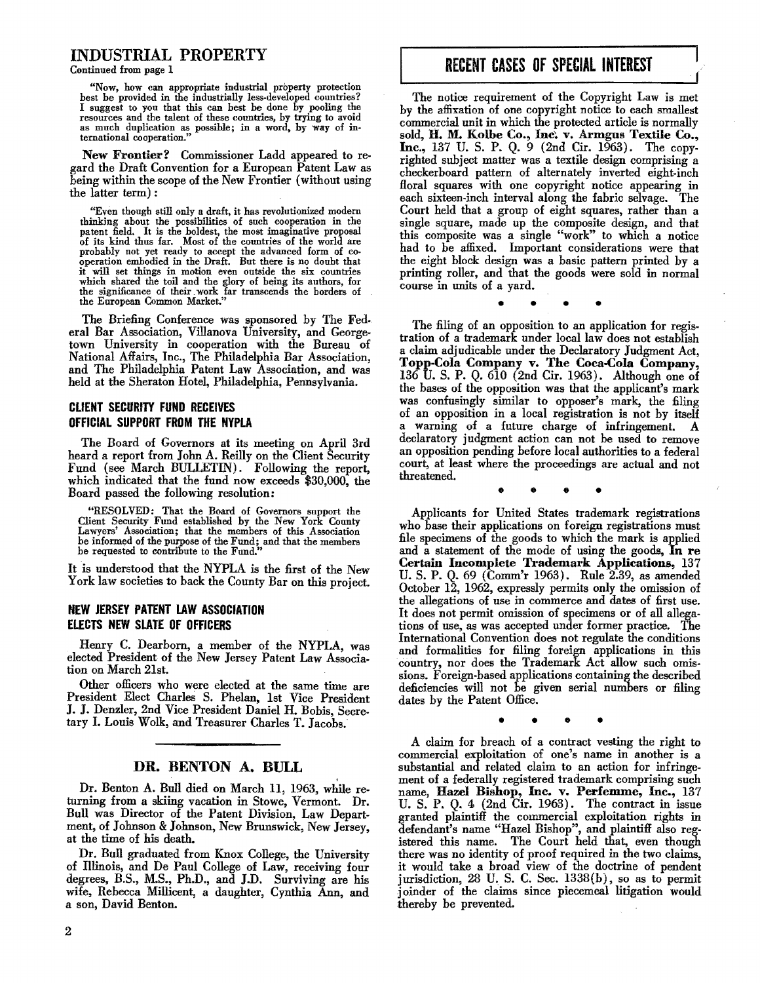# INDUSTRIAL PROPERTY

Continued from page 1

"Now, how can appropriate industrial property protection best be provided in the industrially less·developed countries? I suggest to you that this can best he done by pooling the resources and the talent of these countries, by trying to avoid as much duplication as possible; in a word, by way of in· ternational cooperation."

New Frontier? Commissioner Ladd appeared to regard the Draft Convention for a Enropean Patent Law as heing within the scope of the New Frontier (without using the latter term) :

"Even though still only a draft, it has revolutionized modem thinking about the possibilities of such cooperation in the patent field. It is the boldest, the most imaginative proposal of its kind thus far. Most of the countries of the world are probably not yet ready to accept the advanced form of co operation embodied in the Draft. But there is no doubt that it will set things in motion even outside the six countries which shared the toil and the glory of being its authors, for the significance of their work far transcends the borders of the European Common Market."

The Briefing Conference was sponsored hy The Fed. eral Bar Association, Villanova University, and Georgetown University in cooperation with the Bureau of National Affairs, Inc., The Philadelphia Bar Association, and The Philadelphia Patent Law Association, and was held at the Sheraton Hotel, Philadelphia, Pennsylvania.

## CLIENT SECURITY FUND RECEIVES OFFICIAL SUPPORT FROM THE NYPLA

The Board of Governors at its meeting on April 3rd heard a report from John A. Reilly on the Client Security Fund (see March BULLETIN). Following the report, which indicated that the fund now exceeds \$30,000, the Board passed the following resolution:

"RESOLVED: That the Board of Governors support the Client Security Fund established by the New York County Lawyers' Association; that the members of this Association be informed of the purpose of the Fund; and that the members be requested to contribute to the Fund."

It is understood that the NYPLA is the first of the New York law societies to back the County Bar on this project.

## NEW JERSEY PATENT LAW ASSOCIATION ELECTS NEW SLATE OF OFFICERS

Henry C. Dearborn, a member of the NYPLA, was elected President of the New Jersey Patent Law Association on March 21st.

Other officers who were elected at the same time are President Elect Charles S. Phelan, 1st Vice President J. J. Denzler, 2nd Vice President Daniel H. Bohis, Secretary I. Louis Wolk, and Treasurer Charles T. Jacohs.

## DR. BENTON A. BULL

Dr. Benton A. Bull died on March 11, 1963, while returning from a skiing vacation in Stowe, Vermont. Dr. Bull was Director of the Patent Division, Law Department, of Johnson & Johnson, New Brunswick, New Jersey, at the time of his death.

Dr. Bull graduated from Knox College, the University of Illinois, and De Paul College of Law, receiving four degrees, B.S., M.S., Ph.D., and J.D. Surviving are his wife, Rehecca Millicent, a daughter, Cynthia Ann, and a son, David Benton.

# RECENT CASES OF SPECIAL INTEREST

The notice requirement of the Copyright Law is met hy the affixation of one copyright notice to each smallest commercial unit in which the protected article is normally sold, It M. Kolbe Co., Inc'. v. Armgus Textile Co., Inc., 137 U.S. P. Q. 9 (2nd Cir. 1963). The copyrighted subject matter was a textile design comprising a checkerboard pattern of alternately inverted eight-inch floral squares with one copyright notice appearing in each sixteen-inch interval along the fahric selvage. The Court held that a group of eight squares, rather than a single square, made up the composite design, and that this composite was a single "work" to which a notice had to he affixed. Important considerations were that the eight block design was a hasic pattern printed by a printing roller, and that the goods were sold in normal course in units of a yard.

• • • •

• • • • The filing of an opposition to an application for registration of a trademark under local law does not estahlish a claim adjudicahle under the Declaratory Judgment Act, Topp.Cola Company v. The Coca-Cola Company, 136 U. S. P. Q. 610 (2nd Cir. 1963). Although one of the hases of the opposition was that the applicant's mark was confusingly similar to opposer's mark, the filing of an opposition in a local registration is not hy itself a warning of a future charge of infringement. A declaratory judgment action can not he used to remove an opposition pending hefore local authorities to a federal court, at least where the proceedings are actual and not threatened.

Applicants for United States trademark registrations who hase their applications on foreign registrations must file specimens of the goods to which the mark is applied and a statement of the mode of using the goods, In re Certain Incomplete Trademark Applications, 137 U. S. P. Q. 69 (Comm'r 1963). Rule 2.39, as amended October 12, 1962, expressly permits only the omission of the allegations of use in commerce and dates of first use. It does not permit omission of specimens or of all allegations of use, as was accepted under former practice. The International Convention does not regulate the conditions and formalities for filing foreign applications in this country, nor does the Trademark Act allow such omissions. Foreign-based applications containing the described deficiencies will not be given serial numbers or filing dates hy the Patent Office.

• • • •

A claim for hreach of a contract vesting the right to commercial exploitation of one's name in another is a suhstantial and related claim to an action for infringement of a federally registered trademark comprising such name, Hazel Bishop, Inc. v. Perfemme, Inc., 137 U. S. P.  $\theta$ . 4 (2nd  $\operatorname{Cir}$ . 1963). The contract in issue granted plaintiff the commercial exploitation rights in defendant's name "Hazel Bishop", and plaintiff also registered this name. The Court held that, even though there was no identity of proof required in the two claims, it would take a broad view of the doctrine of pendent jurisdiction,  $28 \text{ U. S. C. Sec. } 1338(b)$ , so as to permit joinder of the claims since piecemeal litigation would therehy he prevented.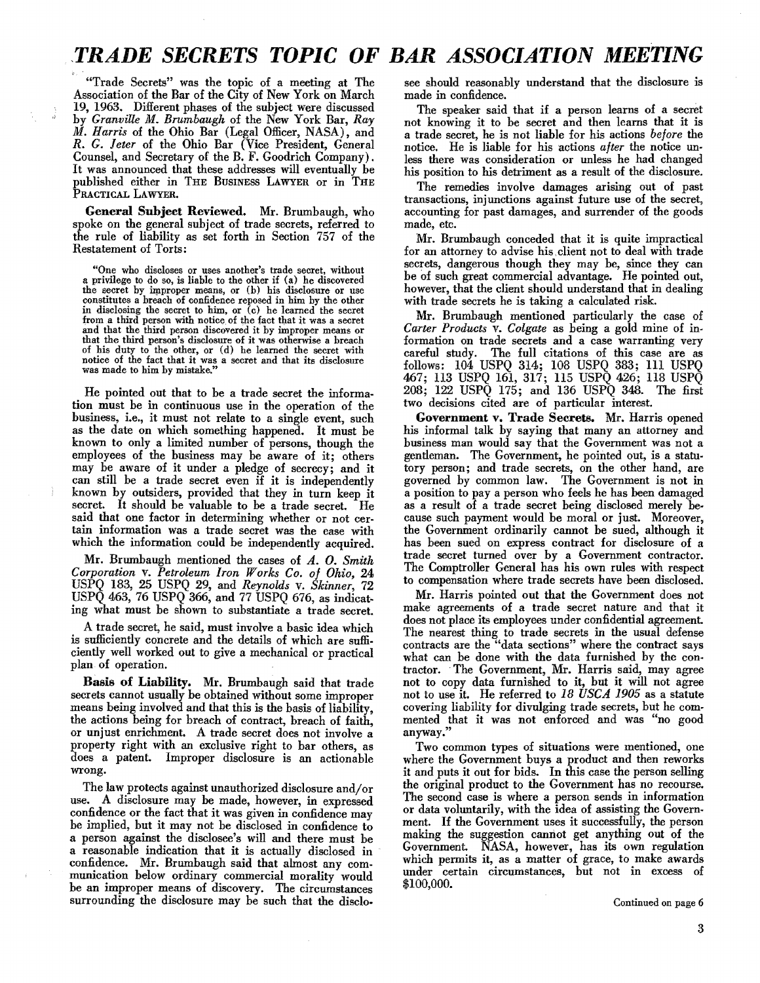# ,TRADE *SECRETS TOPIC OF BAR ASSOCIATION MEETING*

"Trade Secrets" was the topic of a meeting at The Association of the Bar of the City of New York on March 19, 1963. Different phases of the subject were discussed by *GranviUe M. Brumbaugh* of the New York Bar, *Ray*  M. *Harris* of the Ohio Bar (Legal Officer, NASA), and R. G. *Jeter* of the Ohio Bar (Vice President, General Counsel, and Secretary of the B. F. Goodrich Company). It was announced that these addresses will eventually be published either in THE BUSINESS LAWYER or in THE PRACTICAL LAWYER.

General Subject Reviewed. Mr. Brumbaugh, who spoke on the general subject of trade secrets, referred to the rule of liability as set forth in Section 757 of the Restatement of Torts:

"One who discloses or uses another's trade secret, without a privilege to do so, is liable to the other if (a) he discovered constitutes a breach of confidence reposed in him by the other in disclosing the secret to him, or (c) he learned the secret from a third person with notice of the fact that it was a secret and that the third person discovered it hy improper means or that the third person's disclosure of it was otherwise a hreach of his duty to the other, or (d) he learned the secret with notice of the fact that it was a secret and that its disclosure was made to him by mistake."

He pointed out that to be a trade secret the information must be in continuous use in the operation of the business, i.e., it must not relate to a single event, such as the date on which something happened. It must be known to only a limited number of persons, though the employees of the business may be aware of it; others may be aware of it under a pledge of secrecy; and it can still be a trade secret even if it is independently known by outsiders, provided that they in turn keep it secret. It should be valuable to be a trade secret. He said that one factor in determining whether or not certain information was a trade secret was the ease with which the information could be independently acquired.

Mr. Brumbaugh mentioned the cases of A. O. *Smith Corporation* v. *Petroleum Iron Works Co. of Ohio, 24*  USPQ 183, 25 USPQ 29, and *Reynolds* v. *Skinner, 72*  USPQ 463, 76 USPQ 366, and 77 USPQ 676, as indicating what must be shown to substantiate a trade secret.

A trade secret, he said, must involve a basic idea which is sufficiently concrete and the details of which are sufficiently well worked out to give a mechanical or practical plan of operation. .

Basis of Liability. Mr. Brumbaugh said that trade secrets cannot usually be obtained without some improper means being involved and that this is the basis of liability, the actions being for breach of contract, breach of faith, or unjust enrichment. A trade secret does not involve a property right with an exclusive right to bar others, as does a patent. Improper disclosure is an actionable wrong.

The law protects against unauthorized disclosure and/or use. A disclosure may be made, however, in expressed confidence or the fact that it was given in confidence may be implied, but it may not be disclosed in confidence to a person against the disclosee's will and there must be a reasonable indication that it is actually disclosed in confidence. Mr. Brumbangh said that almost any communication below ordinary commercial morality would be an improper means of discovery. The circumstances surrounding the disclosure may be such that the disclosee should reasonably understand that the disclosure is made in confidence.

The speaker said that if a person learns of a secret not knowing it to be secret and then learns that it is a trade secret, he is not liable for his actions *before* the notice. He is liable for his actions *after* the notice unless there was consideration or unless he had changed his position to his detriment as a result of the disclosure.

The remedies involve damages arising out of past transactions, injunctions against future use of the secret, accounting for past damages, and surrender of the goods made, etc.

Mr. Brumbaugh conceded that it is quite impractical for an attorney to advise his, client not to deal with trade secrets, dangerous though they may be, since they can be of such great commercial advantage. He pointed out, however, that the client should understand that in dealing with trade secrets he is taking a calculated risk.

Mr. Brumbaugh mentioned particularly the case of *Carter Products* v. *Colgate* as being a gold mine of information on trade secrets and a case warranting very careful study. The full citations of this case are as follows: 104 USPQ 314; 108 USPQ 383; III USPQ 467; 113 USPQ 161, 317; 115 USPQ 426; 118 USPQ 208; 122 USPQ 175; and 136 USPQ 348. The first two decisions cited are of particular interest.

Government v. Trade Secrets. Mr. Harris opened his informal talk by saying that many an attorney and business man would say that the Government was not a gentleman. The Government, he pointed out, is a statutory person; and trade secrets, on the other hand, are governed by common law. The Government is not in a position to pay a person who feels he has been damaged as a result of a trade secret being disclosed merely because such payment would be moral or just. Moreover, the Government ordinarily cannot be sued, although it has been sued on express contract for disclosure of a trade secret turned over by a Government contractor. The Comptroller General has his own rules with respect to compensation where trade secrets have been disclosed.

Mr. Harris pointed out that the Government does not make agreements of a trade secret nature and that it does not place its employees under confidential agreement. The nearest thing to trade secrets in the usual defense contracts are the "data sections" where the contract says what can be done with the data furnished by the conwhat can be done with the data furnished by the contractor. The Government, Mr. Harris said, may agree not to copy data furnished to it, but it will not agree not to use it. He referred to 18 *USCA 1905* as a statute covering liability for divulging trade secrets, but he commented that it was not enforced and was "no good anyway."

Two common types of situations were mentioned, one where the Government buys a product and then reworks it and puts it out for bids. In this case the person selling the original product to the Government has no recourse. The second case is where a person sends in information or data voluntarily, with the idea of assisting the Government. If the Government uses it successfully, the person making the suggestion cannot get anything out of the Government. NASA, however, has its own regulation which permits it, as a matter of grace, to make awards under certain circumstances, but not in excess of \$100,000.

Continued on page 6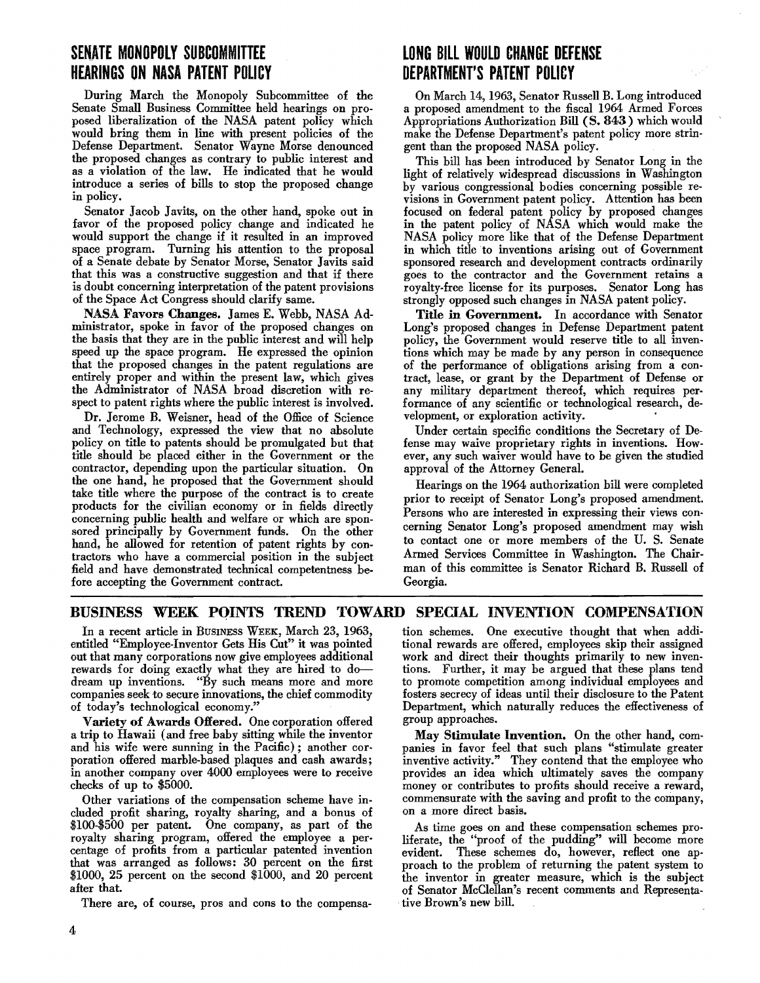# SEN,ATE **MONOPOLY SUBCOMMITTEE HEARINGS ON NASA PATENT POLICY**

During March the Monopoly Suhcommittee of the Senate Small Business Committee held hearings on proposed liberalization of the NASA patent policy which would hring them in line with present policies of the Defense Department. Senator Wayne Morse denounced the proposed changes as contrary to public interest and as a violation of the law. He indicated that he would introduce a series of hills to stop the proposed change in policy.

Senator Jacoh Javits, on the other hand, spoke out in favor of the proposed policy change and indicated he would support the change if it resulted in an improved space program. Turning his attention to the proposal of a Senate dehate hy Senator Morse, Senator Javits said that this was a constructive suggestion and that if there is douht concerning interpretation of the patent provisions of the Space Act Congress should clarify same.

NASA Favors Changes. James E. Wehh, NASA Administrator, spoke in favor of the proposed changes on the hasis that they are in the puhlic interest and will help speed up the space program. He expressed the opinion that the proposed changes in the patent regulations are entirely proper and within the present law, which gives the Administrator of NASA hroad discretion with respect to patent rights where the public interest is involved.

Dr. Jerome B. Weisner, head of the Office of Science and Technology, expressed the view that no absolute policy on title to patents should he promulgated hut that title should he placed either in the Government or the contractor, depending upon the particular situation. On the one hand, he proposed that the Government should take title where the purpose of the contract is to create products for the civilian economy or in fields directly concerning puhlic health and welfare or which are sponsored principally by Government funds. On the other hand, he allowed for retention of patent rights by contractors who have a commercial position in the subject field and have demonstrated technical competentness before accepting the Government contract.

# **LONG BILL WOULD CHANGE DEFENSE DEPARTMENT'S PATENT POLICY**

On March 14, 1963, Senator Russell B. Long introduced a proposed amendment to the fiscal 1964 Armed Forces Appropriations Authorization Bill (S. 843) which would make the Defense Department's patent policy more strin· gent than the proposed NASA policy.

This bill has heen introduced by Senator Long in the light of relatively widespread discussions in Washington hy various congressional bodies concerning possible revisions in Government patent policy. Attention has heen focused on federal patent policy hy proposed changes in the patent policy of NASA which would make the NASA policy more like that of the Defense Department in which title to inventions arising out of Government sponsored research and development contracts ordinarily goes to the contractor and the Government retains a royalty-free license for its purposes. Senator Long has strongly opposed such changes in NASA patent policy.

Title in Government. In accordance with Senator Long's proposed changes in Defense Department patent policy, the Government would reserve title to all inventions which may be made by any person in consequence of the performance of ohligations arising from a contract, lease, or grant hy the Department of Defense or any military department thereof, which requires performance of any scientific or technological research, development, or exploration activity. .

Under certain specific conditions the Secretary of Defense may waive proprietary rights in inventions. However, any such waiver would have to be given the studied approval of the Attorney General.

Hearings on the 1964 authorization bill were completed prior to receipt of Senator Long's proposed amendment. Persons who are interested in expressing their views concerning Senator Long's proposed amendment may wish to contact one or more members of the U. S. Senate Armed Services Committee in Washington. The Chairman of this committee is Senator Richard B. Russell of Georgia.

# BUSINESS WEEK PQINTS TREND TOWARD SPECIAL INVENTION COMPENSATION

In a recent article in BUSINESS WEEK, March 23, 1963, entitled "Employee-Inventor Gets His Cut" it was pointed out that many corporations now give employees additional rewards for doing exactly what they are hired to dodream up inventions. "By such means more and more companies seek to secure innovations, the chief commodity of today's technological economy."

Variety of Awards Offered. One corporation offered a trip to Hawaii (and free hahy sitting while the inventor and his wife were sunning in the Pacific); another cor· poration offered marhle-based plaques and cash awards; in another company over 4000 employees were to receive checks of up to \$5000.

Other variations of the compensation scheme have included profit sharing, royalty sharing, and a honus of \$100·\$500 per patent. One company, as part of the royalty sharing program, offered the employee a percentage of profits from a particular patented invention that was arranged as follows: 30 percent on the first \$1000, 25 percent on the second \$1000, and 20 percent after that.

There are, of course, pros and cons to the compensa-

tion schemes. One executive thought that when additional rewards are offered, employees skip their assigned work and direct their thoughts primarily to new inventions. Further, it may he argued that these plans tend to promote competition among individual employees and fosters secrecy of ideas nntil their disclosure to the Patent Department, which naturally reduces the effectiveness of group approaches.

May Stimulate Invention. On the other hand, companies in favor feel that such plans "stimulate greater inventive activity." They contend that the employee who provides an idea which ultimately saves the company money or contrihutes to profits should receive a reward, commensurate with the saving and profit to the company, on a more direct hasis.

As time goes on and these compensation schemes proliferate, the "proof of the pudding" will become more evident. These schemes do, however, reflect one approach to the problem of returning the patent system to the inventor in greater measure, which is the suhject of Senator McClellan's recent comments and Representative Brown's new hill.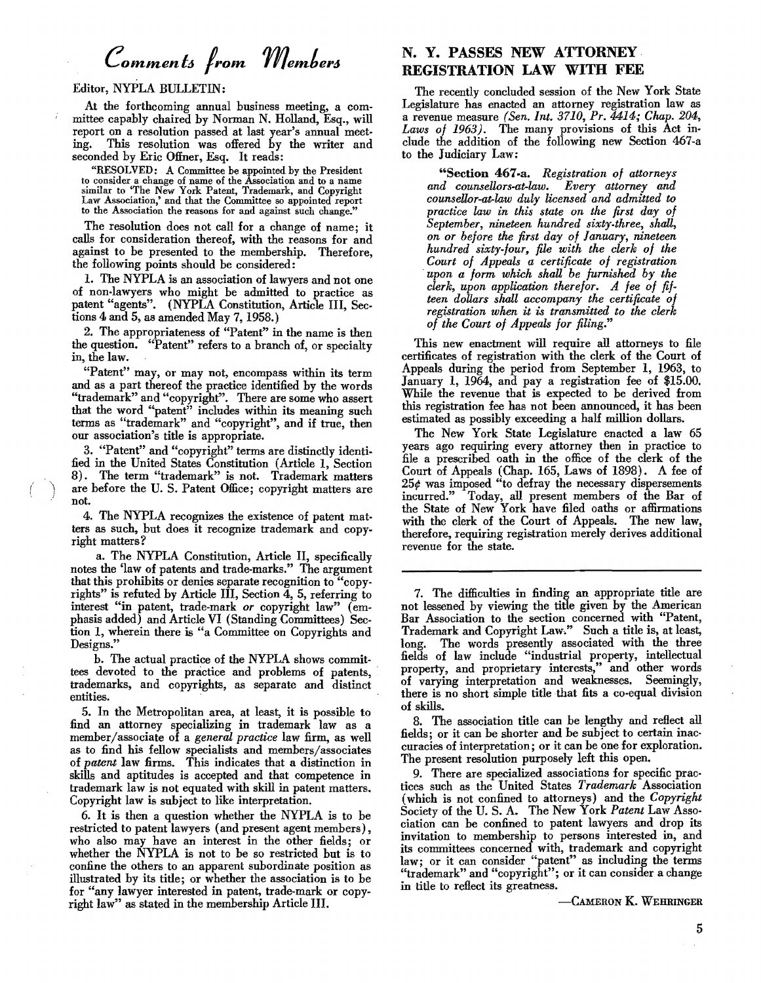# *eommenl6 Irom member6*

## Editor, NYPLA BUlLETIN:

At the forthcoming annual business meeting, a com· mittee capably chaired by Norman N. Holland, Esq., will report on a resolution passed at last year's annual meeting. This resolution was offered by the writer and seconded by Eric Offner, Esq. It reads:

"RESOLVED: A Committee be appointed by the President to consider a change of name of the Association and to a name similar to "The New York Patent, Trademark, and Copyright<br>Law Association,' and that the Committee so appointed report to the Association the reasons for and against such change.'

The resolution does not call for a change of name; it calls for consideration thereof, with the reasons for and against to be presented to the membership. Therefore the following points should be considered: '

1. The NYPLA is an association of lawyers and not one of non-lawyers who might be admitted to practice as patent "agents". (NYPLA Constitution, Article III, Sections 4 and 5, as amended May 7,1958.)

2. The appropriateness of "Patent" in the name is then the question. "Patent" refers to a branch of, or specialty in, the law.

"Patent" may, or may not, encompass within its term and as a part thereof the practice identified by the words "trademark" and "copyright". There are some who assert that the word "patent" includes within its meaning such terms as "trademark" and "copyright", and if true, then our association's title is appropriate.

3. "Patent" and "copyright" terms are distinctly identified in the United States Constitution (Article 1, Section 8). The term "trademark" is not. Trademark matters are before the U.S. Patent Office; copyright matters are not.

 $( \ )$ 

4. The NYPLA recognizes the existence of patent matters as such, but does it recognize trademark and copyright matters?

a. The NYPLA Constitution, Article II, specifically notes the 'law of patents and trade-marks." The argument that this prohibits or denies separate recognition to "copyrights" is refuted by Article III, Section 4, 5, referring to interest "in patent, trade-mark or copyright law" (emphasis added) and Article VI (Standing Committees) Section 1, wherein there is "a Committee on Copyrights and Designs."

b. The actual practice of the NYPLA shows committees devoted to the practice and problems of patents, . trademarks, and copyrights, as separate and distinct entities.

5. In the Metropolitan area, at least, it is possible to find an attorney specializing in trademark law as a member/associate of a *general practice* law firm, as well as to find his fellow specialists and members/associates of *patent* law firms. This indicates that a distinction in skills and aptitudes is accepted and that competence in trademark law is not equated with skill in patent matters. Copyright law is subject to like interpretation.

6. It is then a question whether the NYPLA is to be restricted to patent lawyers (and present agent members) , who also may have an interest in the other fields; or whether the NYPLA is not to be so restricted but is to confine the others to an apparent subordinate position as illustrated by its title; or whether the association is to be for "any lawyer interested in patent, trade-mark or copyright law" as stated in the membership Article III.

# N. Y. PASSES NEW ATTORNEY. REGISTRATION LAW WITH FEE

The recently concluded session of the New York State Legislature has enacted an attorney registration law as a revenue measure *(Sen. Int. 3710, Pr. 4414; Chap. 204, Laws of* 1963). The many provisions of this Act include the addition of the following new Section 467-a to the Judiciary Law:

"Section 467·a. *Registration of attorneys and counsellors-at-law. Every attorney and counsellor-at-law duly licensed and admitted* to *practice law in this state on the first day of September, nineteen hundred sixty-three, shall, on or before the first day of January, nineteen hundred sixty-four, file with the clerk of the Court of Appeals a certificate of registration upon a form which shall be furnished by the clerk, upon application therefor. A fee of fifteen dollars shall accompany the certificate of registration when it is transmitted to the clerk of the Court of Appeals for filing."* 

This new enactment will require all attorneys to file certificates of registration with the clerk of the Court of Appeals during the period from September 1, 1963, to January 1, 1964, and pay a registration fee of \$15.00. While the revenue that is expected to be derived from this registration fee has not been announced, it has been estimated as possibly exceeding a half million dollars.

The New York State Legislature enacted a law 65 years ago requiring every attorney then in practice to file a prescribed oath in the office of the clerk of the Court of Appeals (Chap. 165, Laws of 1898). A fee of  $25¢$  was imposed "to defray the necessary dispersements incurred." Today, all present members of the Bar of the State of New York have filed oaths or affirmations with the clerk of the Court of Appeals. The new law, therefore, requiring registration merely derives additional revenue for the state.

7. The difficulties in finding an appropriate title are not lessened by viewing the title given by the American Bar Association to the section concerned with "Patent, Trademark and Copyright Law." Such a title is, at least, long. The words presently associated with the three fields of law include "industrial property, intellectual property, and proprietary interests," and other words of varying interpretation and weaknesses. Seemingly, there is no short simple title that fits a co-equal division of skills.

8. The association title can be lengthy and reflect all fields; or it can be shorter and be subject to certain inac· curacies of interpretation; or it can be one for exploration. The present resolution purposely left this open.

9. There are specialized associations for specific practices such as the United States *Trademark* Association (which is not confined to attorneys) and the *Copyright*  Society of the U. S. A. The New York *Patent* Law Association can be confined to patent lawyers and drop its invitation to membership to persons interested in, and its committees concerned with, trademark and copyright law; or it can consider "patent" as including the terms "trademark" and "copyright"; or it can consider a change in title to reflect its greatness.

-CAMERON K. WEHRINGER